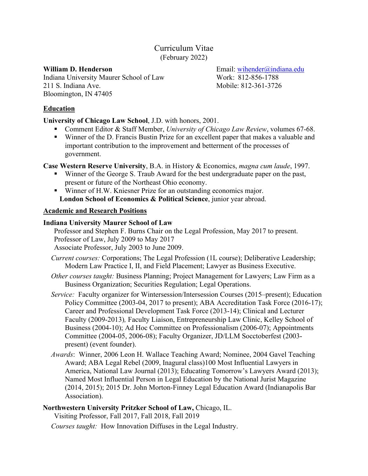# Curriculum Vitae (February 2022)

Indiana University Maurer School of Law Work: 812-856-1788 211 S. Indiana Ave. Mobile: 812-361-3726 Bloomington, IN 47405

**William D. Henderson** Email: wihender@indiana.edu

## **Education**

## **University of Chicago Law School**, J.D. with honors, 2001.

- Comment Editor & Staff Member, *University of Chicago Law Review*, volumes 67-68.
- Winner of the D. Francis Bustin Prize for an excellent paper that makes a valuable and important contribution to the improvement and betterment of the processes of government.

**Case Western Reserve University**, B.A. in History & Economics, *magna cum laude*, 1997.

- Winner of the George S. Traub Award for the best undergraduate paper on the past, present or future of the Northeast Ohio economy.
- Winner of H.W. Kniesner Prize for an outstanding economics major. **London School of Economics & Political Science**, junior year abroad.

## **Academic and Research Positions**

## **Indiana University Maurer School of Law**

Professor and Stephen F. Burns Chair on the Legal Profession, May 2017 to present. Professor of Law, July 2009 to May 2017

Associate Professor, July 2003 to June 2009.

- *Current courses:* Corporations; The Legal Profession (1L course); Deliberative Leadership; Modern Law Practice I, II, and Field Placement; Lawyer as Business Executive.
- *Other courses taught:* Business Planning; Project Management for Lawyers; Law Firm as a Business Organization; Securities Regulation; Legal Operations.
- *Service:* Faculty organizer for Wintersession/Intersession Courses (2015–present); Education Policy Committee (2003-04, 2017 to present); ABA Accreditation Task Force (2016-17); Career and Professional Development Task Force (2013-14); Clinical and Lecturer Faculty (2009-2013)*,* Faculty Liaison, Entrepreneurship Law Clinic, Kelley School of Business (2004-10); Ad Hoc Committee on Professionalism (2006-07); Appointments Committee (2004-05, 2006-08); Faculty Organizer, JD/LLM Socctoberfest (2003 present) (event founder).
- *Awards*: Winner, 2006 Leon H. Wallace Teaching Award; Nominee, 2004 Gavel Teaching Award; ABA Legal Rebel (2009, Inagural class)100 Most Influential Lawyers in America, National Law Journal (2013); Educating Tomorrow's Lawyers Award (2013); Named Most Influential Person in Legal Education by the National Jurist Magazine (2014, 2015); 2015 Dr. John Morton-Finney Legal Education Award (Indianapolis Bar Association).

## **Northwestern University Pritzker School of Law,** Chicago, IL. Visiting Professor, Fall 2017, Fall 2018, Fall 2019

*Courses taught:* How Innovation Diffuses in the Legal Industry.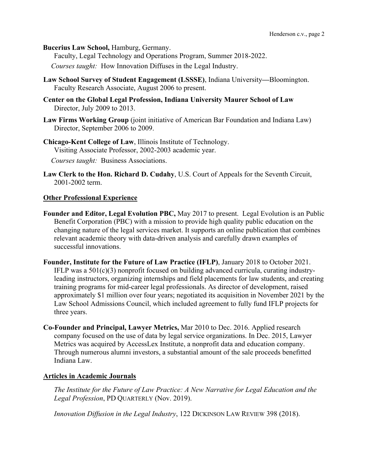**Bucerius Law School,** Hamburg, Germany.

Faculty, Legal Technology and Operations Program, Summer 2018-2022.

*Courses taught:* How Innovation Diffuses in the Legal Industry.

- **Law School Survey of Student Engagement (LSSSE)**, Indiana University**—**Bloomington. Faculty Research Associate, August 2006 to present.
- **Center on the Global Legal Profession, Indiana University Maurer School of Law** Director, July 2009 to 2013.
- **Law Firms Working Group** (joint initiative of American Bar Foundation and Indiana Law) Director, September 2006 to 2009.

**Chicago-Kent College of Law**, Illinois Institute of Technology. Visiting Associate Professor, 2002-2003 academic year. *Courses taught:* Business Associations.

**Law Clerk to the Hon. Richard D. Cudahy**, U.S. Court of Appeals for the Seventh Circuit, 2001-2002 term.

#### **Other Professional Experience**

- **Founder and Editor, Legal Evolution PBC,** May 2017 to present. Legal Evolution is an Public Benefit Corporation (PBC) with a mission to provide high quality public education on the changing nature of the legal services market. It supports an online publication that combines relevant academic theory with data-driven analysis and carefully drawn examples of successful innovations.
- **Founder, Institute for the Future of Law Practice (IFLP)**, January 2018 to October 2021. IFLP was a 501(c)(3) nonprofit focused on building advanced curricula, curating industryleading instructors, organizing internships and field placements for law students, and creating training programs for mid-career legal professionals. As director of development, raised approximately \$1 million over four years; negotiated its acquisition in November 2021 by the Law School Admissions Council, which included agreement to fully fund IFLP projects for three years.
- **Co-Founder and Principal, Lawyer Metrics,** Mar 2010 to Dec. 2016. Applied research company focused on the use of data by legal service organizations. In Dec. 2015, Lawyer Metrics was acquired by AccessLex Institute, a nonprofit data and education company. Through numerous alumni investors, a substantial amount of the sale proceeds benefitted Indiana Law.

#### **Articles in Academic Journals**

*The Institute for the Future of Law Practice: A New Narrative for Legal Education and the Legal Profession*, PD QUARTERLY (Nov. 2019).

*Innovation Diffusion in the Legal Industry*, 122 DICKINSON LAW REVIEW 398 (2018).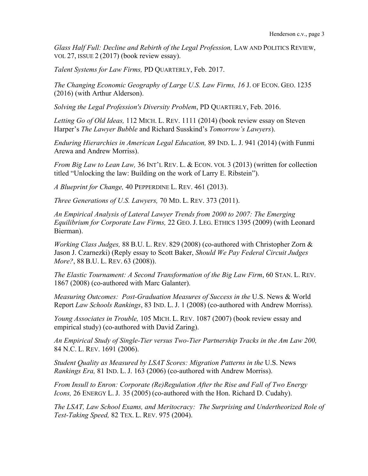*Glass Half Full: Decline and Rebirth of the Legal Profession, LAW AND POLITICS REVIEW,* VOL 27, ISSUE 2 (2017) (book review essay).

*Talent Systems for Law Firms,* PD QUARTERLY, Feb. 2017.

*The Changing Economic Geography of Large U.S. Law Firms, 16* J. OF ECON. GEO. 1235 (2016) (with Arthur Alderson).

*Solving the Legal Profession's Diversity Problem*, PD QUARTERLY, Feb. 2016.

*Letting Go of Old Ideas,* 112 MICH. L. REV. 1111 (2014) (book review essay on Steven Harper's *The Lawyer Bubble* and Richard Susskind's *Tomorrow's Lawyers*).

*Enduring Hierarchies in American Legal Education,* 89 IND. L. J. 941 (2014) (with Funmi Arewa and Andrew Morriss).

*From Big Law to Lean Law,* 36 INT'L REV. L. & ECON. VOL 3 (2013) (written for collection titled "Unlocking the law: Building on the work of Larry E. Ribstein").

*A Blueprint for Change,* 40 PEPPERDINE L. REV. 461 (2013).

*Three Generations of U.S. Lawyers,* 70 MD. L. REV. 373 (2011).

*An Empirical Analysis of Lateral Lawyer Trends from 2000 to 2007: The Emerging Equilibrium for Corporate Law Firms,* 22 GEO. J. LEG. ETHICS 1395 (2009) (with Leonard Bierman).

*Working Class Judges,* 88 B.U. L. REV. 829 (2008) (co-authored with Christopher Zorn & Jason J. Czarnezki) (Reply essay to Scott Baker, *Should We Pay Federal Circuit Judges More?*, 88 B.U. L. REV. 63 (2008)).

*The Elastic Tournament: A Second Transformation of the Big Law Firm*, 60 STAN. L. REV. 1867 (2008) (co-authored with Marc Galanter).

*Measuring Outcomes: Post-Graduation Measures of Success in the* U.S. News & World Report *Law Schools Rankings*, 83 IND. L. J. 1 (2008) (co-authored with Andrew Morriss).

*Young Associates in Trouble,* 105 MICH. L. REV. 1087 (2007) (book review essay and empirical study) (co-authored with David Zaring).

*An Empirical Study of Single-Tier versus Two-Tier Partnership Tracks in the Am Law 200,*  84 N.C. L. REV. 1691 (2006).

*Student Quality as Measured by LSAT Scores: Migration Patterns in the* U.S. News *Rankings Era,* 81 IND. L. J. 163 (2006) (co-authored with Andrew Morriss).

*From Insull to Enron: Corporate (Re)Regulation After the Rise and Fall of Two Energy Icons,* 26 ENERGY L. J. 35 (2005) (co-authored with the Hon. Richard D. Cudahy).

*The LSAT, Law School Exams, and Meritocracy: The Surprising and Undertheorized Role of Test-Taking Speed,* 82 TEX. L. REV. 975 (2004).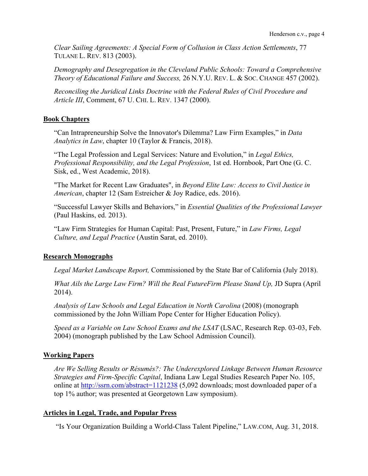*Clear Sailing Agreements: A Special Form of Collusion in Class Action Settlements*, 77 TULANE L. REV. 813 (2003).

*Demography and Desegregation in the Cleveland Public Schools: Toward a Comprehensive Theory of Educational Failure and Success,* 26 N.Y.U. REV. L. & SOC. CHANGE 457 (2002).

*Reconciling the Juridical Links Doctrine with the Federal Rules of Civil Procedure and Article III*, Comment, 67 U. CHI. L. REV. 1347 (2000).

## **Book Chapters**

"Can Intrapreneurship Solve the Innovator's Dilemma? Law Firm Examples," in *Data Analytics in Law*, chapter 10 (Taylor & Francis, 2018).

"The Legal Profession and Legal Services: Nature and Evolution," in *Legal Ethics, Professional Responsibility, and the Legal Profession*, 1st ed. Hornbook, Part One (G. C. Sisk, ed., West Academic, 2018).

"The Market for Recent Law Graduates", in *Beyond Elite Law: Access to Civil Justice in American*, chapter 12 (Sam Estreicher & Joy Radice, eds. 2016).

"Successful Lawyer Skills and Behaviors," in *Essential Qualities of the Professional Lawyer* (Paul Haskins, ed. 2013).

"Law Firm Strategies for Human Capital: Past, Present, Future," in *Law Firms, Legal Culture, and Legal Practice* (Austin Sarat, ed. 2010).

# **Research Monographs**

*Legal Market Landscape Report,* Commissioned by the State Bar of California (July 2018).

*What Ails the Large Law Firm? Will the Real FutureFirm Please Stand Up, JD Supra (April* 2014).

*Analysis of Law Schools and Legal Education in North Carolina* (2008) (monograph commissioned by the John William Pope Center for Higher Education Policy).

*Speed as a Variable on Law School Exams and the LSAT* (LSAC, Research Rep. 03-03, Feb. 2004) (monograph published by the Law School Admission Council).

# **Working Papers**

*Are We Selling Results or Résumés?: The Underexplored Linkage Between Human Resource Strategies and Firm-Specific Capital*, Indiana Law Legal Studies Research Paper No. 105, online at http://ssrn.com/abstract=1121238 (5,092 downloads; most downloaded paper of a top 1% author; was presented at Georgetown Law symposium).

# **Articles in Legal, Trade, and Popular Press**

"Is Your Organization Building a World-Class Talent Pipeline," LAW.COM, Aug. 31, 2018.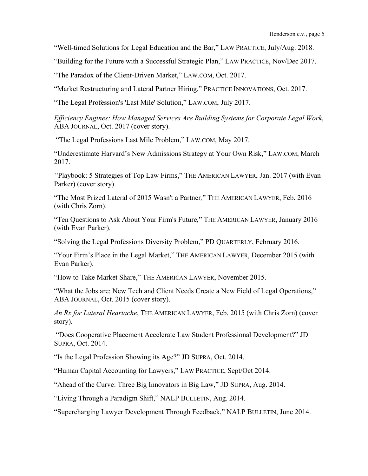"Well-timed Solutions for Legal Education and the Bar," LAW PRACTICE, July/Aug. 2018.

"Building for the Future with a Successful Strategic Plan," LAW PRACTICE, Nov/Dec 2017.

"The Paradox of the Client-Driven Market," LAW.COM, Oct. 2017.

"Market Restructuring and Lateral Partner Hiring," PRACTICE INNOVATIONS, Oct. 2017.

"The Legal Profession's 'Last Mile' Solution," LAW.COM, July 2017.

*Efficiency Engines: How Managed Services Are Building Systems for Corporate Legal Work*, ABA JOURNAL, Oct. 2017 (cover story).

"The Legal Professions Last Mile Problem," LAW.COM, May 2017.

"Underestimate Harvard's New Admissions Strategy at Your Own Risk," LAW.COM, March 2017.

*"*Playbook: 5 Strategies of Top Law Firms," THE AMERICAN LAWYER, Jan. 2017 (with Evan Parker) (cover story).

"The Most Prized Lateral of 2015 Wasn't a Partner*,*" THE AMERICAN LAWYER, Feb. 2016 (with Chris Zorn).

"Ten Questions to Ask About Your Firm's Future*,*" THE AMERICAN LAWYER, January 2016 (with Evan Parker).

"Solving the Legal Professions Diversity Problem," PD QUARTERLY, February 2016.

"Your Firm's Place in the Legal Market," THE AMERICAN LAWYER, December 2015 (with Evan Parker).

"How to Take Market Share," THE AMERICAN LAWYER, November 2015.

"What the Jobs are: New Tech and Client Needs Create a New Field of Legal Operations," ABA JOURNAL, Oct. 2015 (cover story).

*An Rx for Lateral Heartache*, THE AMERICAN LAWYER, Feb. 2015 (with Chris Zorn) (cover story).

"Does Cooperative Placement Accelerate Law Student Professional Development?" JD SUPRA, Oct. 2014.

"Is the Legal Profession Showing its Age?" JD SUPRA, Oct. 2014.

"Human Capital Accounting for Lawyers," LAW PRACTICE, Sept/Oct 2014.

"Ahead of the Curve: Three Big Innovators in Big Law," JD SUPRA, Aug. 2014.

"Living Through a Paradigm Shift," NALP BULLETIN, Aug. 2014.

"Supercharging Lawyer Development Through Feedback," NALP BULLETIN, June 2014.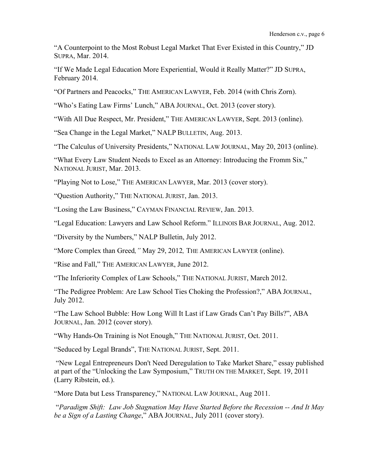"A Counterpoint to the Most Robust Legal Market That Ever Existed in this Country," JD SUPRA, Mar. 2014.

"If We Made Legal Education More Experiential, Would it Really Matter?" JD SUPRA, February 2014.

"Of Partners and Peacocks," THE AMERICAN LAWYER, Feb. 2014 (with Chris Zorn).

"Who's Eating Law Firms' Lunch," ABA JOURNAL, Oct. 2013 (cover story).

"With All Due Respect, Mr. President," THE AMERICAN LAWYER, Sept. 2013 (online).

"Sea Change in the Legal Market," NALP BULLETIN, Aug. 2013.

"The Calculus of University Presidents," NATIONAL LAW JOURNAL, May 20, 2013 (online).

"What Every Law Student Needs to Excel as an Attorney: Introducing the Fromm Six," NATIONAL JURIST, Mar. 2013.

"Playing Not to Lose," THE AMERICAN LAWYER, Mar. 2013 (cover story).

"Question Authority," THE NATIONAL JURIST, Jan. 2013.

"Losing the Law Business," CAYMAN FINANCIAL REVIEW, Jan. 2013.

"Legal Education: Lawyers and Law School Reform." ILLINOIS BAR JOURNAL, Aug. 2012.

"Diversity by the Numbers," NALP Bulletin, July 2012.

"More Complex than Greed*,"* May 29, 2012*,* THE AMERICAN LAWYER (online).

"Rise and Fall," THE AMERICAN LAWYER, June 2012.

"The Inferiority Complex of Law Schools," THE NATIONAL JURIST, March 2012.

"The Pedigree Problem: Are Law School Ties Choking the Profession?," ABA JOURNAL, July 2012.

"The Law School Bubble: How Long Will It Last if Law Grads Can't Pay Bills?", ABA JOURNAL, Jan. 2012 (cover story).

"Why Hands-On Training is Not Enough," THE NATIONAL JURIST, Oct. 2011.

"Seduced by Legal Brands", THE NATIONAL JURIST, Sept. 2011.

"New Legal Entrepreneurs Don't Need Deregulation to Take Market Share," essay published at part of the "Unlocking the Law Symposium," TRUTH ON THE MARKET, Sept. 19, 2011 (Larry Ribstein, ed.).

"More Data but Less Transparency," NATIONAL LAW JOURNAL, Aug 2011.

"*Paradigm Shift: Law Job Stagnation May Have Started Before the Recession -- And It May be a Sign of a Lasting Change*," ABA JOURNAL, July 2011 (cover story).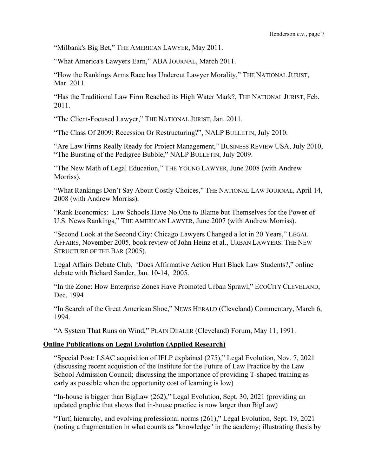"Milbank's Big Bet," THE AMERICAN LAWYER, May 2011.

"What America's Lawyers Earn," ABA JOURNAL, March 2011.

"How the Rankings Arms Race has Undercut Lawyer Morality," THE NATIONAL JURIST, Mar. 2011.

"Has the Traditional Law Firm Reached its High Water Mark?, THE NATIONAL JURIST, Feb. 2011.

"The Client-Focused Lawyer," THE NATIONAL JURIST, Jan. 2011.

"The Class Of 2009: Recession Or Restructuring?", NALP BULLETIN, July 2010.

"Are Law Firms Really Ready for Project Management," BUSINESS REVIEW USA, July 2010, "The Bursting of the Pedigree Bubble," NALP BULLETIN, July 2009.

"The New Math of Legal Education," THE YOUNG LAWYER, June 2008 (with Andrew Morriss).

"What Rankings Don't Say About Costly Choices," THE NATIONAL LAW JOURNAL, April 14, 2008 (with Andrew Morriss).

"Rank Economics: Law Schools Have No One to Blame but Themselves for the Power of U.S. News Rankings," THE AMERICAN LAWYER, June 2007 (with Andrew Morriss).

"Second Look at the Second City: Chicago Lawyers Changed a lot in 20 Years," LEGAL AFFAIRS, November 2005, book review of John Heinz et al., URBAN LAWYERS: THE NEW STRUCTURE OF THE BAR (2005).

Legal Affairs Debate Club*, "*Does Affirmative Action Hurt Black Law Students?," online debate with Richard Sander, Jan. 10-14, 2005.

"In the Zone: How Enterprise Zones Have Promoted Urban Sprawl," ECOCITY CLEVELAND, Dec. 1994

"In Search of the Great American Shoe," NEWS HERALD (Cleveland) Commentary, March 6, 1994.

"A System That Runs on Wind," PLAIN DEALER (Cleveland) Forum, May 11, 1991.

## **Online Publications on Legal Evolution (Applied Research)**

"Special Post: LSAC acquisition of IFLP explained (275)," Legal Evolution, Nov. 7, 2021 (discussing recent acquistion of the Institute for the Future of Law Practice by the Law School Admission Council; discussing the importance of providing T-shaped training as early as possible when the opportunity cost of learning is low)

"In-house is bigger than BigLaw (262)," Legal Evolution, Sept. 30, 2021 (providing an updated graphic that shows that in-house practice is now larger than BigLaw)

"Turf, hierarchy, and evolving professional norms (261)," Legal Evolution, Sept. 19, 2021 (noting a fragmentation in what counts as "knowledge" in the academy; illustrating thesis by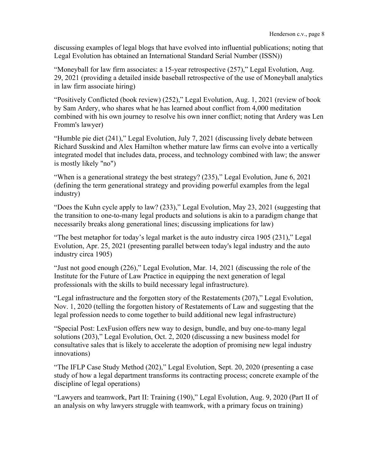discussing examples of legal blogs that have evolved into influential publications; noting that Legal Evolution has obtained an International Standard Serial Number (ISSN))

"Moneyball for law firm associates: a 15-year retrospective (257)," Legal Evolution, Aug. 29, 2021 (providing a detailed inside baseball retrospective of the use of Moneyball analytics in law firm associate hiring)

"Positively Conflicted (book review) (252)," Legal Evolution, Aug. 1, 2021 (review of book by Sam Ardery, who shares what he has learned about conflict from 4,000 meditation combined with his own journey to resolve his own inner conflict; noting that Ardery was Len Fromm's lawyer)

"Humble pie diet (241)," Legal Evolution, July 7, 2021 (discussing lively debate between Richard Susskind and Alex Hamilton whether mature law firms can evolve into a vertically integrated model that includes data, process, and technology combined with law; the answer is mostly likely "no")

"When is a generational strategy the best strategy? (235)," Legal Evolution, June 6, 2021 (defining the term generational strategy and providing powerful examples from the legal industry)

"Does the Kuhn cycle apply to law? (233)," Legal Evolution, May 23, 2021 (suggesting that the transition to one-to-many legal products and solutions is akin to a paradigm change that necessarily breaks along generational lines; discussing implications for law)

"The best metaphor for today's legal market is the auto industry circa 1905 (231)," Legal Evolution, Apr. 25, 2021 (presenting parallel between today's legal industry and the auto industry circa 1905)

"Just not good enough (226)," Legal Evolution, Mar. 14, 2021 (discussing the role of the Institute for the Future of Law Practice in equipping the next generation of legal professionals with the skills to build necessary legal infrastructure).

"Legal infrastructure and the forgotten story of the Restatements (207)," Legal Evolution, Nov. 1, 2020 (telling the forgotten history of Restatements of Law and suggesting that the legal profession needs to come together to build additional new legal infrastructure)

"Special Post: LexFusion offers new way to design, bundle, and buy one-to-many legal solutions (203)," Legal Evolution, Oct. 2, 2020 (discussing a new business model for consultative sales that is likely to accelerate the adoption of promising new legal industry innovations)

"The IFLP Case Study Method (202)," Legal Evolution, Sept. 20, 2020 (presenting a case study of how a legal department transforms its contracting process; concrete example of the discipline of legal operations)

"Lawyers and teamwork, Part II: Training (190)," Legal Evolution, Aug. 9, 2020 (Part II of an analysis on why lawyers struggle with teamwork, with a primary focus on training)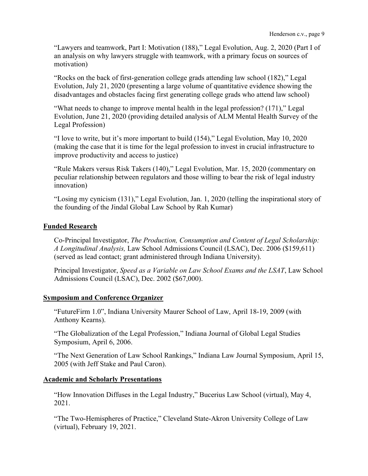"Lawyers and teamwork, Part I: Motivation (188)," Legal Evolution, Aug. 2, 2020 (Part I of an analysis on why lawyers struggle with teamwork, with a primary focus on sources of motivation)

"Rocks on the back of first-generation college grads attending law school (182)," Legal Evolution, July 21, 2020 (presenting a large volume of quantitative evidence showing the disadvantages and obstacles facing first generating college grads who attend law school)

"What needs to change to improve mental health in the legal profession? (171)," Legal Evolution, June 21, 2020 (providing detailed analysis of ALM Mental Health Survey of the Legal Profession)

"I love to write, but it's more important to build (154)," Legal Evolution, May 10, 2020 (making the case that it is time for the legal profession to invest in crucial infrastructure to improve productivity and access to justice)

"Rule Makers versus Risk Takers (140)," Legal Evolution, Mar. 15, 2020 (commentary on peculiar relationship between regulators and those willing to bear the risk of legal industry innovation)

"Losing my cynicism (131)," Legal Evolution, Jan. 1, 2020 (telling the inspirational story of the founding of the Jindal Global Law School by Rah Kumar)

## **Funded Research**

Co-Principal Investigator, *The Production, Consumption and Content of Legal Scholarship: A Longitudinal Analysis,* Law School Admissions Council (LSAC), Dec. 2006 (\$159,611) (served as lead contact; grant administered through Indiana University).

Principal Investigator, *Speed as a Variable on Law School Exams and the LSAT*, Law School Admissions Council (LSAC), Dec. 2002 (\$67,000).

## **Symposium and Conference Organizer**

"FutureFirm 1.0", Indiana University Maurer School of Law, April 18-19, 2009 (with Anthony Kearns).

"The Globalization of the Legal Profession," Indiana Journal of Global Legal Studies Symposium, April 6, 2006.

"The Next Generation of Law School Rankings," Indiana Law Journal Symposium, April 15, 2005 (with Jeff Stake and Paul Caron).

#### **Academic and Scholarly Presentations**

"How Innovation Diffuses in the Legal Industry," Bucerius Law School (virtual), May 4, 2021.

"The Two-Hemispheres of Practice," Cleveland State-Akron University College of Law (virtual), February 19, 2021.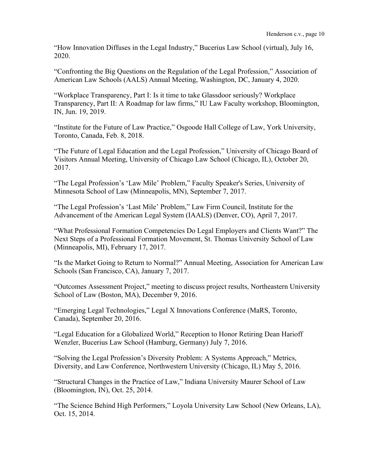"How Innovation Diffuses in the Legal Industry," Bucerius Law School (virtual), July 16, 2020.

"Confronting the Big Questions on the Regulation of the Legal Profession," Association of American Law Schools (AALS) Annual Meeting, Washington, DC, January 4, 2020.

"Workplace Transparency, Part I: Is it time to take Glassdoor seriously? Workplace Transparency, Part II: A Roadmap for law firms," IU Law Faculty workshop, Bloomington, IN, Jun. 19, 2019.

"Institute for the Future of Law Practice," Osgoode Hall College of Law, York University, Toronto, Canada, Feb. 8, 2018.

"The Future of Legal Education and the Legal Profession," University of Chicago Board of Visitors Annual Meeting, University of Chicago Law School (Chicago, IL), October 20, 2017.

"The Legal Profession's 'Law Mile' Problem," Faculty Speaker's Series, University of Minnesota School of Law (Minneapolis, MN), September 7, 2017.

"The Legal Profession's 'Last Mile' Problem," Law Firm Council, Institute for the Advancement of the American Legal System (IAALS) (Denver, CO), April 7, 2017.

"What Professional Formation Competencies Do Legal Employers and Clients Want?" The Next Steps of a Professional Formation Movement, St. Thomas University School of Law (Minneapolis, MI), February 17, 2017.

"Is the Market Going to Return to Normal?" Annual Meeting, Association for American Law Schools (San Francisco, CA), January 7, 2017.

"Outcomes Assessment Project," meeting to discuss project results, Northeastern University School of Law (Boston, MA), December 9, 2016.

"Emerging Legal Technologies," Legal X Innovations Conference (MaRS, Toronto, Canada), September 20, 2016.

"Legal Education for a Globalized World," Reception to Honor Retiring Dean Harioff Wenzler, Bucerius Law School (Hamburg, Germany) July 7, 2016.

"Solving the Legal Profession's Diversity Problem: A Systems Approach," Metrics, Diversity, and Law Conference, Northwestern University (Chicago, IL) May 5, 2016.

"Structural Changes in the Practice of Law," Indiana University Maurer School of Law (Bloomington, IN), Oct. 25, 2014.

"The Science Behind High Performers," Loyola University Law School (New Orleans, LA), Oct. 15, 2014.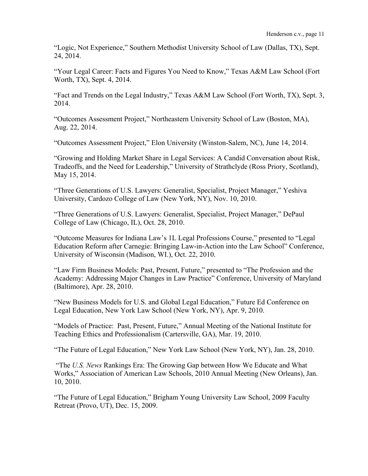"Logic, Not Experience," Southern Methodist University School of Law (Dallas, TX), Sept. 24, 2014.

"Your Legal Career: Facts and Figures You Need to Know," Texas A&M Law School (Fort Worth, TX), Sept. 4, 2014.

"Fact and Trends on the Legal Industry," Texas A&M Law School (Fort Worth, TX), Sept. 3, 2014.

"Outcomes Assessment Project," Northeastern University School of Law (Boston, MA), Aug. 22, 2014.

"Outcomes Assessment Project," Elon University (Winston-Salem, NC), June 14, 2014.

"Growing and Holding Market Share in Legal Services: A Candid Conversation about Risk, Tradeoffs, and the Need for Leadership," University of Strathclyde (Ross Priory, Scotland), May 15, 2014.

"Three Generations of U.S. Lawyers: Generalist, Specialist, Project Manager," Yeshiva University, Cardozo College of Law (New York, NY), Nov. 10, 2010.

"Three Generations of U.S. Lawyers: Generalist, Specialist, Project Manager," DePaul College of Law (Chicago, IL), Oct. 28, 2010.

"Outcome Measures for Indiana Law's 1L Legal Professions Course," presented to "Legal Education Reform after Carnegie: Bringing Law-in-Action into the Law School" Conference, University of Wisconsin (Madison, WI.), Oct. 22, 2010.

"Law Firm Business Models: Past, Present, Future," presented to "The Profession and the Academy: Addressing Major Changes in Law Practice" Conference, University of Maryland (Baltimore), Apr. 28, 2010.

"New Business Models for U.S. and Global Legal Education," Future Ed Conference on Legal Education, New York Law School (New York, NY), Apr. 9, 2010.

"Models of Practice: Past, Present, Future," Annual Meeting of the National Institute for Teaching Ethics and Professionalism (Cartersville, GA), Mar. 19, 2010.

"The Future of Legal Education," New York Law School (New York, NY), Jan. 28, 2010.

"The *U.S. News* Rankings Era: The Growing Gap between How We Educate and What Works," Association of American Law Schools, 2010 Annual Meeting (New Orleans), Jan. 10, 2010.

"The Future of Legal Education," Brigham Young University Law School, 2009 Faculty Retreat (Provo, UT), Dec. 15, 2009.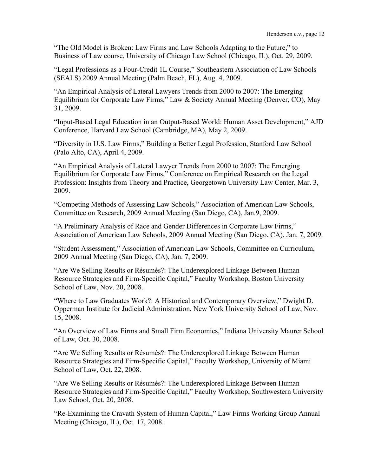"The Old Model is Broken: Law Firms and Law Schools Adapting to the Future," to Business of Law course, University of Chicago Law School (Chicago, IL), Oct. 29, 2009.

"Legal Professions as a Four-Credit 1L Course," Southeastern Association of Law Schools (SEALS) 2009 Annual Meeting (Palm Beach, FL), Aug. 4, 2009.

"An Empirical Analysis of Lateral Lawyers Trends from 2000 to 2007: The Emerging Equilibrium for Corporate Law Firms," Law & Society Annual Meeting (Denver, CO), May 31, 2009.

"Input-Based Legal Education in an Output-Based World: Human Asset Development," AJD Conference, Harvard Law School (Cambridge, MA), May 2, 2009.

"Diversity in U.S. Law Firms," Building a Better Legal Profession, Stanford Law School (Palo Alto, CA), April 4, 2009.

"An Empirical Analysis of Lateral Lawyer Trends from 2000 to 2007: The Emerging Equilibrium for Corporate Law Firms," Conference on Empirical Research on the Legal Profession: Insights from Theory and Practice, Georgetown University Law Center, Mar. 3, 2009.

"Competing Methods of Assessing Law Schools," Association of American Law Schools, Committee on Research, 2009 Annual Meeting (San Diego, CA), Jan.9, 2009.

"A Preliminary Analysis of Race and Gender Differences in Corporate Law Firms," Association of American Law Schools, 2009 Annual Meeting (San Diego, CA), Jan. 7, 2009.

"Student Assessment," Association of American Law Schools, Committee on Curriculum, 2009 Annual Meeting (San Diego, CA), Jan. 7, 2009.

"Are We Selling Results or Résumés?: The Underexplored Linkage Between Human Resource Strategies and Firm-Specific Capital," Faculty Workshop, Boston University School of Law, Nov. 20, 2008.

"Where to Law Graduates Work?: A Historical and Contemporary Overview," Dwight D. Opperman Institute for Judicial Administration, New York University School of Law, Nov. 15, 2008.

"An Overview of Law Firms and Small Firm Economics," Indiana University Maurer School of Law, Oct. 30, 2008.

"Are We Selling Results or Résumés?: The Underexplored Linkage Between Human Resource Strategies and Firm-Specific Capital," Faculty Workshop, University of Miami School of Law, Oct. 22, 2008.

"Are We Selling Results or Résumés?: The Underexplored Linkage Between Human Resource Strategies and Firm-Specific Capital," Faculty Workshop, Southwestern University Law School, Oct. 20, 2008.

"Re-Examining the Cravath System of Human Capital," Law Firms Working Group Annual Meeting (Chicago, IL), Oct. 17, 2008.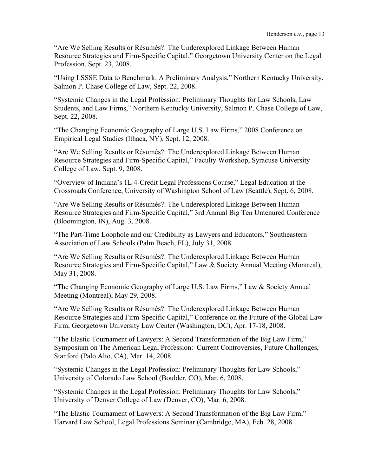"Are We Selling Results or Résumés?: The Underexplored Linkage Between Human Resource Strategies and Firm-Specific Capital," Georgetown University Center on the Legal Profession, Sept. 23, 2008.

"Using LSSSE Data to Benchmark: A Preliminary Analysis," Northern Kentucky University, Salmon P. Chase College of Law, Sept. 22, 2008.

"Systemic Changes in the Legal Profession: Preliminary Thoughts for Law Schools, Law Students, and Law Firms," Northern Kentucky University, Salmon P. Chase College of Law, Sept. 22, 2008.

"The Changing Economic Geography of Large U.S. Law Firms," 2008 Conference on Empirical Legal Studies (Ithaca, NY), Sept. 12, 2008.

"Are We Selling Results or Résumés?: The Underexplored Linkage Between Human Resource Strategies and Firm-Specific Capital," Faculty Workshop, Syracuse University College of Law, Sept. 9, 2008.

"Overview of Indiana's 1L 4-Credit Legal Professions Course," Legal Education at the Crossroads Conference, University of Washington School of Law (Seattle), Sept. 6, 2008.

"Are We Selling Results or Résumés?: The Underexplored Linkage Between Human Resource Strategies and Firm-Specific Capital," 3rd Annual Big Ten Untenured Conference (Bloomington, IN), Aug. 3, 2008.

"The Part-Time Loophole and our Credibility as Lawyers and Educators," Southeastern Association of Law Schools (Palm Beach, FL), July 31, 2008.

"Are We Selling Results or Résumés?: The Underexplored Linkage Between Human Resource Strategies and Firm-Specific Capital," Law & Society Annual Meeting (Montreal), May 31, 2008.

"The Changing Economic Geography of Large U.S. Law Firms," Law & Society Annual Meeting (Montreal), May 29, 2008.

"Are We Selling Results or Résumés?: The Underexplored Linkage Between Human Resource Strategies and Firm-Specific Capital," Conference on the Future of the Global Law Firm, Georgetown University Law Center (Washington, DC), Apr. 17-18, 2008.

"The Elastic Tournament of Lawyers: A Second Transformation of the Big Law Firm," Symposium on The American Legal Profession: Current Controversies, Future Challenges, Stanford (Palo Alto, CA), Mar. 14, 2008.

"Systemic Changes in the Legal Profession: Preliminary Thoughts for Law Schools," University of Colorado Law School (Boulder, CO), Mar. 6, 2008.

"Systemic Changes in the Legal Profession: Preliminary Thoughts for Law Schools," University of Denver College of Law (Denver, CO), Mar. 6, 2008.

"The Elastic Tournament of Lawyers: A Second Transformation of the Big Law Firm," Harvard Law School, Legal Professions Seminar (Cambridge, MA), Feb. 28, 2008.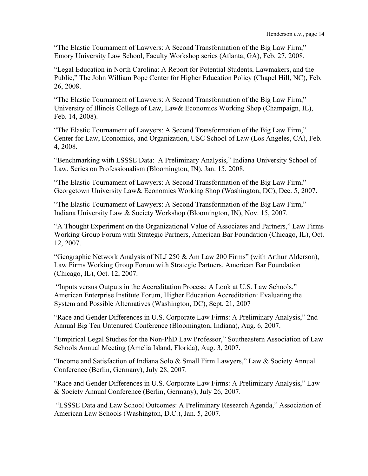"The Elastic Tournament of Lawyers: A Second Transformation of the Big Law Firm," Emory University Law School, Faculty Workshop series (Atlanta, GA), Feb. 27, 2008.

"Legal Education in North Carolina: A Report for Potential Students, Lawmakers, and the Public," The John William Pope Center for Higher Education Policy (Chapel Hill, NC), Feb. 26, 2008.

"The Elastic Tournament of Lawyers: A Second Transformation of the Big Law Firm," University of Illinois College of Law, Law& Economics Working Shop (Champaign, IL), Feb. 14, 2008).

"The Elastic Tournament of Lawyers: A Second Transformation of the Big Law Firm," Center for Law, Economics, and Organization, USC School of Law (Los Angeles, CA), Feb. 4, 2008.

"Benchmarking with LSSSE Data: A Preliminary Analysis," Indiana University School of Law, Series on Professionalism (Bloomington, IN), Jan. 15, 2008.

"The Elastic Tournament of Lawyers: A Second Transformation of the Big Law Firm," Georgetown University Law& Economics Working Shop (Washington, DC), Dec. 5, 2007.

"The Elastic Tournament of Lawyers: A Second Transformation of the Big Law Firm," Indiana University Law & Society Workshop (Bloomington, IN), Nov. 15, 2007.

"A Thought Experiment on the Organizational Value of Associates and Partners," Law Firms Working Group Forum with Strategic Partners, American Bar Foundation (Chicago, IL), Oct. 12, 2007.

"Geographic Network Analysis of NLJ 250 & Am Law 200 Firms" (with Arthur Alderson), Law Firms Working Group Forum with Strategic Partners, American Bar Foundation (Chicago, IL), Oct. 12, 2007.

"Inputs versus Outputs in the Accreditation Process: A Look at U.S. Law Schools," American Enterprise Institute Forum, Higher Education Accreditation: Evaluating the System and Possible Alternatives (Washington, DC), Sept. 21, 2007

"Race and Gender Differences in U.S. Corporate Law Firms: A Preliminary Analysis," 2nd Annual Big Ten Untenured Conference (Bloomington, Indiana), Aug. 6, 2007.

"Empirical Legal Studies for the Non-PhD Law Professor," Southeastern Association of Law Schools Annual Meeting (Amelia Island, Florida), Aug. 3, 2007.

"Income and Satisfaction of Indiana Solo & Small Firm Lawyers," Law & Society Annual Conference (Berlin, Germany), July 28, 2007.

"Race and Gender Differences in U.S. Corporate Law Firms: A Preliminary Analysis," Law & Society Annual Conference (Berlin, Germany), July 26, 2007.

"LSSSE Data and Law School Outcomes: A Preliminary Research Agenda," Association of American Law Schools (Washington, D.C.), Jan. 5, 2007.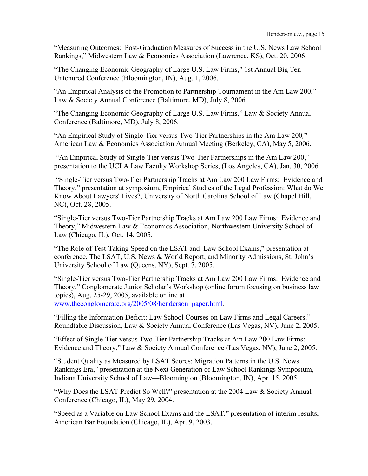"Measuring Outcomes: Post-Graduation Measures of Success in the U.S. News Law School Rankings," Midwestern Law & Economics Association (Lawrence, KS), Oct. 20, 2006.

"The Changing Economic Geography of Large U.S. Law Firms," 1st Annual Big Ten Untenured Conference (Bloomington, IN), Aug. 1, 2006.

"An Empirical Analysis of the Promotion to Partnership Tournament in the Am Law 200," Law & Society Annual Conference (Baltimore, MD), July 8, 2006.

"The Changing Economic Geography of Large U.S. Law Firms," Law & Society Annual Conference (Baltimore, MD), July 8, 2006.

"An Empirical Study of Single-Tier versus Two-Tier Partnerships in the Am Law 200*,*" American Law & Economics Association Annual Meeting (Berkeley, CA), May 5, 2006.

"An Empirical Study of Single-Tier versus Two-Tier Partnerships in the Am Law 200," presentation to the UCLA Law Faculty Workshop Series, (Los Angeles, CA), Jan. 30, 2006.

"Single-Tier versus Two-Tier Partnership Tracks at Am Law 200 Law Firms: Evidence and Theory," presentation at symposium, Empirical Studies of the Legal Profession: What do We Know About Lawyers' Lives?, University of North Carolina School of Law (Chapel Hill, NC), Oct. 28, 2005.

"Single-Tier versus Two-Tier Partnership Tracks at Am Law 200 Law Firms: Evidence and Theory," Midwestern Law & Economics Association, Northwestern University School of Law (Chicago, IL), Oct. 14, 2005.

"The Role of Test-Taking Speed on the LSAT and Law School Exams," presentation at conference, The LSAT, U.S. News & World Report, and Minority Admissions, St. John's University School of Law (Queens, NY), Sept. 7, 2005.

"Single-Tier versus Two-Tier Partnership Tracks at Am Law 200 Law Firms: Evidence and Theory," Conglomerate Junior Scholar's Workshop (online forum focusing on business law topics), Aug. 25-29, 2005, available online at www.theconglomerate.org/2005/08/henderson\_paper.html.

"Filling the Information Deficit: Law School Courses on Law Firms and Legal Careers," Roundtable Discussion, Law & Society Annual Conference (Las Vegas, NV), June 2, 2005.

"Effect of Single-Tier versus Two-Tier Partnership Tracks at Am Law 200 Law Firms: Evidence and Theory," Law & Society Annual Conference (Las Vegas, NV), June 2, 2005.

"Student Quality as Measured by LSAT Scores: Migration Patterns in the U.S. News Rankings Era," presentation at the Next Generation of Law School Rankings Symposium, Indiana University School of Law—Bloomington (Bloomington, IN), Apr. 15, 2005.

"Why Does the LSAT Predict So Well?" presentation at the 2004 Law & Society Annual Conference (Chicago, IL), May 29, 2004.

"Speed as a Variable on Law School Exams and the LSAT*,*" presentation of interim results, American Bar Foundation (Chicago, IL), Apr. 9, 2003.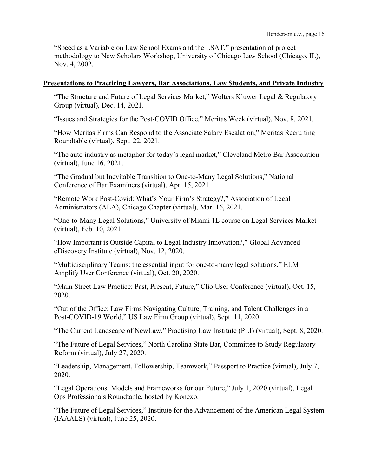"Speed as a Variable on Law School Exams and the LSAT*,*" presentation of project methodology to New Scholars Workshop, University of Chicago Law School (Chicago, IL), Nov. 4, 2002.

#### **Presentations to Practicing Lawyers, Bar Associations, Law Students, and Private Industry**

"The Structure and Future of Legal Services Market," Wolters Kluwer Legal & Regulatory Group (virtual), Dec. 14, 2021.

"Issues and Strategies for the Post-COVID Office," Meritas Week (virtual), Nov. 8, 2021.

"How Meritas Firms Can Respond to the Associate Salary Escalation," Meritas Recruiting Roundtable (virtual), Sept. 22, 2021.

"The auto industry as metaphor for today's legal market," Cleveland Metro Bar Association (virtual), June 16, 2021.

"The Gradual but Inevitable Transition to One-to-Many Legal Solutions," National Conference of Bar Examiners (virtual), Apr. 15, 2021.

"Remote Work Post-Covid: What's Your Firm's Strategy?," Association of Legal Administrators (ALA), Chicago Chapter (virtual), Mar. 16, 2021.

"One-to-Many Legal Solutions," University of Miami 1L course on Legal Services Market (virtual), Feb. 10, 2021.

"How Important is Outside Capital to Legal Industry Innovation?," Global Advanced eDiscovery Institute (virtual), Nov. 12, 2020.

"Multidisciplinary Teams: the essential input for one-to-many legal solutions," ELM Amplify User Conference (virtual), Oct. 20, 2020.

"Main Street Law Practice: Past, Present, Future," Clio User Conference (virtual), Oct. 15, 2020.

"Out of the Office: Law Firms Navigating Culture, Training, and Talent Challenges in a Post-COVID-19 World," US Law Firm Group (virtual), Sept. 11, 2020.

"The Current Landscape of NewLaw," Practising Law Institute (PLI) (virtual), Sept. 8, 2020.

"The Future of Legal Services," North Carolina State Bar, Committee to Study Regulatory Reform (virtual), July 27, 2020.

"Leadership, Management, Followership, Teamwork," Passport to Practice (virtual), July 7, 2020.

"Legal Operations: Models and Frameworks for our Future," July 1, 2020 (virtual), Legal Ops Professionals Roundtable, hosted by Konexo.

"The Future of Legal Services," Institute for the Advancement of the American Legal System (IAAALS) (virtual), June 25, 2020.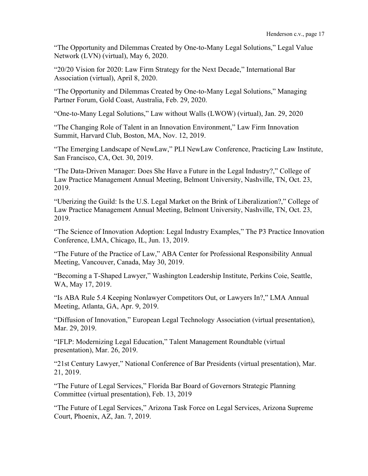"The Opportunity and Dilemmas Created by One-to-Many Legal Solutions," Legal Value Network (LVN) (virtual), May 6, 2020.

"20/20 Vision for 2020: Law Firm Strategy for the Next Decade," International Bar Association (virtual), April 8, 2020.

"The Opportunity and Dilemmas Created by One-to-Many Legal Solutions," Managing Partner Forum, Gold Coast, Australia, Feb. 29, 2020.

"One-to-Many Legal Solutions," Law without Walls (LWOW) (virtual), Jan. 29, 2020

"The Changing Role of Talent in an Innovation Environment," Law Firm Innovation Summit, Harvard Club, Boston, MA, Nov. 12, 2019.

"The Emerging Landscape of NewLaw," PLI NewLaw Conference, Practicing Law Institute, San Francisco, CA, Oct. 30, 2019.

"The Data-Driven Manager: Does She Have a Future in the Legal Industry?," College of Law Practice Management Annual Meeting, Belmont University, Nashville, TN, Oct. 23, 2019.

"Uberizing the Guild: Is the U.S. Legal Market on the Brink of Liberalization?," College of Law Practice Management Annual Meeting, Belmont University, Nashville, TN, Oct. 23, 2019.

"The Science of Innovation Adoption: Legal Industry Examples," The P3 Practice Innovation Conference, LMA, Chicago, IL, Jun. 13, 2019.

"The Future of the Practice of Law," ABA Center for Professional Responsibility Annual Meeting, Vancouver, Canada, May 30, 2019.

"Becoming a T-Shaped Lawyer," Washington Leadership Institute, Perkins Coie, Seattle, WA, May 17, 2019.

"Is ABA Rule 5.4 Keeping Nonlawyer Competitors Out, or Lawyers In?," LMA Annual Meeting, Atlanta, GA, Apr. 9, 2019.

"Diffusion of Innovation," European Legal Technology Association (virtual presentation), Mar. 29, 2019.

"IFLP: Modernizing Legal Education," Talent Management Roundtable (virtual presentation), Mar. 26, 2019.

"21st Century Lawyer," National Conference of Bar Presidents (virtual presentation), Mar. 21, 2019.

"The Future of Legal Services," Florida Bar Board of Governors Strategic Planning Committee (virtual presentation), Feb. 13, 2019

"The Future of Legal Services," Arizona Task Force on Legal Services, Arizona Supreme Court, Phoenix, AZ, Jan. 7, 2019.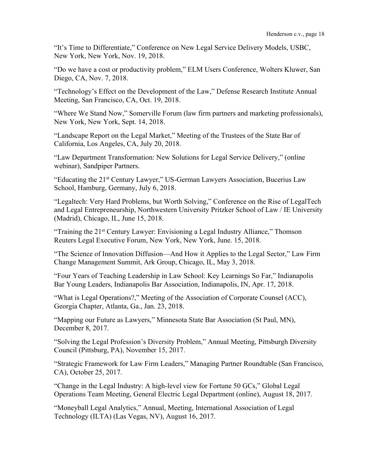"It's Time to Differentiate," Conference on New Legal Service Delivery Models, USBC, New York, New York, Nov. 19, 2018.

"Do we have a cost or productivity problem," ELM Users Conference, Wolters Kluwer, San Diego, CA, Nov. 7, 2018.

"Technology's Effect on the Development of the Law," Defense Research Institute Annual Meeting, San Francisco, CA, Oct. 19, 2018.

"Where We Stand Now," Somerville Forum (law firm partners and marketing professionals), New York, New York, Sept. 14, 2018.

"Landscape Report on the Legal Market," Meeting of the Trustees of the State Bar of California, Los Angeles, CA, July 20, 2018.

"Law Department Transformation: New Solutions for Legal Service Delivery," (online webinar), Sandpiper Partners.

"Educating the 21st Century Lawyer," US-German Lawyers Association, Bucerius Law School, Hamburg, Germany, July 6, 2018.

"Legaltech: Very Hard Problems, but Worth Solving," Conference on the Rise of LegalTech and Legal Entrepreneurship, Northwestern University Pritzker School of Law / IE University (Madrid), Chicago, IL, June 15, 2018.

"Training the 21st Century Lawyer: Envisioning a Legal Industry Alliance," Thomson Reuters Legal Executive Forum, New York, New York, June. 15, 2018.

"The Science of Innovation Diffusion—And How it Applies to the Legal Sector," Law Firm Change Management Summit, Ark Group, Chicago, IL, May 3, 2018.

"Four Years of Teaching Leadership in Law School: Key Learnings So Far," Indianapolis Bar Young Leaders, Indianapolis Bar Association, Indianapolis, IN, Apr. 17, 2018.

"What is Legal Operations?," Meeting of the Association of Corporate Counsel (ACC), Georgia Chapter, Atlanta, Ga., Jan. 23, 2018.

"Mapping our Future as Lawyers," Minnesota State Bar Association (St Paul, MN), December 8, 2017.

"Solving the Legal Profession's Diversity Problem," Annual Meeting, Pittsburgh Diversity Council (Pittsburg, PA), November 15, 2017.

"Strategic Framework for Law Firm Leaders," Managing Partner Roundtable (San Francisco, CA), October 25, 2017.

"Change in the Legal Industry: A high-level view for Fortune 50 GCs," Global Legal Operations Team Meeting, General Electric Legal Department (online), August 18, 2017.

"Moneyball Legal Analytics," Annual, Meeting, International Association of Legal Technology (ILTA) (Las Vegas, NV), August 16, 2017.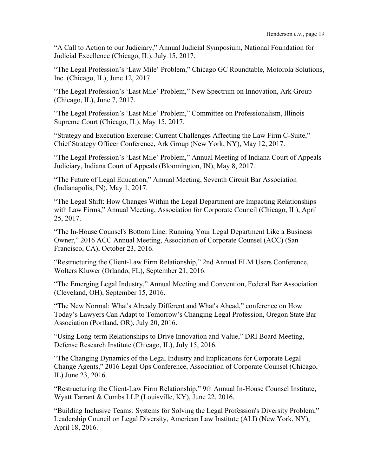"A Call to Action to our Judiciary," Annual Judicial Symposium, National Foundation for Judicial Excellence (Chicago, IL), July 15, 2017.

"The Legal Profession's 'Law Mile' Problem," Chicago GC Roundtable, Motorola Solutions, Inc. (Chicago, IL), June 12, 2017.

"The Legal Profession's 'Last Mile' Problem," New Spectrum on Innovation, Ark Group (Chicago, IL), June 7, 2017.

"The Legal Profession's 'Last Mile' Problem," Committee on Professionalism, Illinois Supreme Court (Chicago, IL), May 15, 2017.

"Strategy and Execution Exercise: Current Challenges Affecting the Law Firm C-Suite," Chief Strategy Officer Conference, Ark Group (New York, NY), May 12, 2017.

"The Legal Profession's 'Last Mile' Problem," Annual Meeting of Indiana Court of Appeals Judiciary, Indiana Court of Appeals (Bloomington, IN), May 8, 2017.

"The Future of Legal Education," Annual Meeting, Seventh Circuit Bar Association (Indianapolis, IN), May 1, 2017.

"The Legal Shift: How Changes Within the Legal Department are Impacting Relationships with Law Firms," Annual Meeting, Association for Corporate Council (Chicago, IL), April 25, 2017.

"The In-House Counsel's Bottom Line: Running Your Legal Department Like a Business Owner," 2016 ACC Annual Meeting, Association of Corporate Counsel (ACC) (San Francisco, CA), October 23, 2016.

"Restructuring the Client-Law Firm Relationship," 2nd Annual ELM Users Conference, Wolters Kluwer (Orlando, FL), September 21, 2016.

"The Emerging Legal Industry," Annual Meeting and Convention, Federal Bar Association (Cleveland, OH), September 15, 2016.

"The New Normal: What's Already Different and What's Ahead," conference on How Today's Lawyers Can Adapt to Tomorrow's Changing Legal Profession, Oregon State Bar Association (Portland, OR), July 20, 2016.

"Using Long-term Relationships to Drive Innovation and Value," DRI Board Meeting, Defense Research Institute (Chicago, IL), July 15, 2016.

"The Changing Dynamics of the Legal Industry and Implications for Corporate Legal Change Agents," 2016 Legal Ops Conference, Association of Corporate Counsel (Chicago, IL) June 23, 2016.

"Restructuring the Client-Law Firm Relationship," 9th Annual In-House Counsel Institute, Wyatt Tarrant & Combs LLP (Louisville, KY), June 22, 2016.

"Building Inclusive Teams: Systems for Solving the Legal Profession's Diversity Problem," Leadership Council on Legal Diversity, American Law Institute (ALI) (New York, NY), April 18, 2016.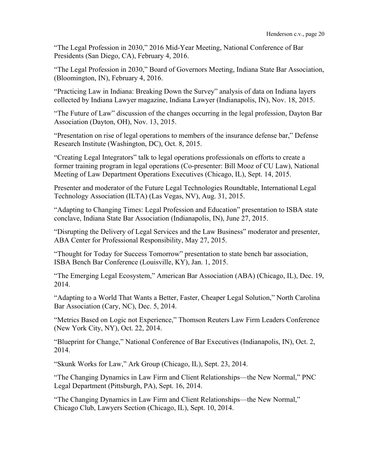"The Legal Profession in 2030," 2016 Mid-Year Meeting, National Conference of Bar Presidents (San Diego, CA), February 4, 2016.

"The Legal Profession in 2030," Board of Governors Meeting, Indiana State Bar Association, (Bloomington, IN), February 4, 2016.

"Practicing Law in Indiana: Breaking Down the Survey" analysis of data on Indiana layers collected by Indiana Lawyer magazine, Indiana Lawyer (Indianapolis, IN), Nov. 18, 2015.

"The Future of Law" discussion of the changes occurring in the legal profession, Dayton Bar Association (Dayton, OH), Nov. 13, 2015.

"Presentation on rise of legal operations to members of the insurance defense bar," Defense Research Institute (Washington, DC), Oct. 8, 2015.

"Creating Legal Integrators" talk to legal operations professionals on efforts to create a former training program in legal operations (Co-presenter: Bill Mooz of CU Law), National Meeting of Law Department Operations Executives (Chicago, IL), Sept. 14, 2015.

Presenter and moderator of the Future Legal Technologies Roundtable, International Legal Technology Association (ILTA) (Las Vegas, NV), Aug. 31, 2015.

"Adapting to Changing Times: Legal Profession and Education" presentation to ISBA state conclave, Indiana State Bar Association (Indianapolis, IN), June 27, 2015.

"Disrupting the Delivery of Legal Services and the Law Business" moderator and presenter, ABA Center for Professional Responsibility, May 27, 2015.

"Thought for Today for Success Tomorrow" presentation to state bench bar association, ISBA Bench Bar Conference (Louisville, KY), Jan. 1, 2015.

"The Emerging Legal Ecosystem," American Bar Association (ABA) (Chicago, IL), Dec. 19, 2014.

"Adapting to a World That Wants a Better, Faster, Cheaper Legal Solution," North Carolina Bar Association (Cary, NC), Dec. 5, 2014.

"Metrics Based on Logic not Experience," Thomson Reuters Law Firm Leaders Conference (New York City, NY), Oct. 22, 2014.

"Blueprint for Change," National Conference of Bar Executives (Indianapolis, IN), Oct. 2, 2014.

"Skunk Works for Law," Ark Group (Chicago, IL), Sept. 23, 2014.

"The Changing Dynamics in Law Firm and Client Relationships—the New Normal," PNC Legal Department (Pittsburgh, PA), Sept. 16, 2014.

"The Changing Dynamics in Law Firm and Client Relationships—the New Normal," Chicago Club, Lawyers Section (Chicago, IL), Sept. 10, 2014.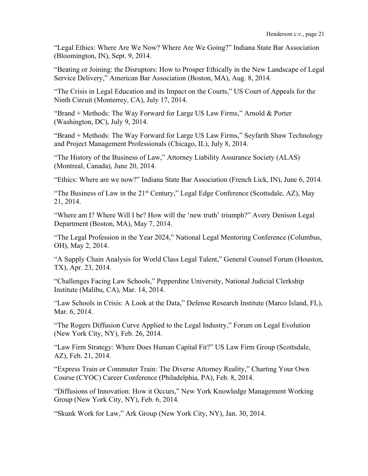"Legal Ethics: Where Are We Now? Where Are We Going?" Indiana State Bar Association (Bloomington, IN), Sept. 9, 2014.

"Beating or Joining: the Disruptors: How to Prosper Ethically in the New Landscape of Legal Service Delivery," American Bar Association (Boston, MA), Aug. 8, 2014.

"The Crisis in Legal Education and its Impact on the Courts," US Court of Appeals for the Ninth Circuit (Monterrey, CA), July 17, 2014.

"Brand + Methods: The Way Forward for Large US Law Firms," Arnold & Porter (Washington, DC), July 9, 2014.

"Brand + Methods: The Way Forward for Large US Law Firms," Seyfarth Shaw Technology and Project Management Professionals (Chicago, IL), July 8, 2014.

"The History of the Business of Law," Attorney Liability Assurance Society (ALAS) (Montreal, Canada), June 20, 2014.

"Ethics: Where are we now?" Indiana State Bar Association (French Lick, IN), June 6, 2014.

"The Business of Law in the 21<sup>st</sup> Century," Legal Edge Conference (Scottsdale, AZ), May 21, 2014.

"Where am I? Where Will I be? How will the 'new truth' triumph?" Avery Denison Legal Department (Boston, MA), May 7, 2014.

"The Legal Profession in the Year 2024," National Legal Mentoring Conference (Columbus, OH), May 2, 2014.

"A Supply Chain Analysis for World Class Legal Talent," General Counsel Forum (Houston, TX), Apr. 23, 2014.

"Challenges Facing Law Schools," Pepperdine University, National Judicial Clerkship Institute (Malibu, CA), Mar. 14, 2014.

"Law Schools in Crisis: A Look at the Data," Defense Research Institute (Marco Island, FL), Mar. 6, 2014.

"The Rogers Diffusion Curve Applied to the Legal Industry," Forum on Legal Evolution (New York City, NY), Feb. 26, 2014.

"Law Firm Strategy: Where Does Human Capital Fit?" US Law Firm Group (Scottsdale, AZ), Feb. 21, 2014.

"Express Train or Commuter Train: The Diverse Attorney Reality," Charting Your Own Course (CYOC) Career Conference (Philadelphia, PA), Feb. 8, 2014.

"Diffusions of Innovation: How it Occurs," New York Knowledge Management Working Group (New York City, NY), Feb. 6, 2014.

"Skunk Work for Law," Ark Group (New York City, NY), Jan. 30, 2014.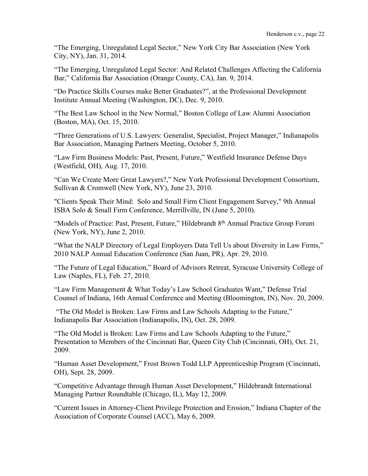"The Emerging, Unregulated Legal Sector," New York City Bar Association (New York City, NY), Jan. 31, 2014.

"The Emerging, Unregulated Legal Sector: And Related Challenges Affecting the California Bar," California Bar Association (Orange County, CA), Jan. 9, 2014.

"Do Practice Skills Courses make Better Graduates?", at the Professional Development Institute Annual Meeting (Washington, DC), Dec. 9, 2010.

"The Best Law School in the New Normal," Boston College of Law Alumni Association (Boston, MA), Oct. 15, 2010.

"Three Generations of U.S. Lawyers: Generalist, Specialist, Project Manager," Indianapolis Bar Association, Managing Partners Meeting, October 5, 2010.

"Law Firm Business Models: Past, Present, Future," Westfield Insurance Defense Days (Westfield, OH), Aug. 17, 2010.

"Can We Create More Great Lawyers?," New York Professional Development Consortium, Sullivan & Cromwell (New York, NY), June 23, 2010.

"Clients Speak Their Mind: Solo and Small Firm Client Engagement Survey," 9th Annual ISBA Solo & Small Firm Conference, Merrillville, IN (June 5, 2010).

"Models of Practice: Past, Present, Future," Hildebrandt 8<sup>th</sup> Annual Practice Group Forum (New York, NY), June 2, 2010.

"What the NALP Directory of Legal Employers Data Tell Us about Diversity in Law Firms," 2010 NALP Annual Education Conference (San Juan, PR), Apr. 29, 2010.

"The Future of Legal Education," Board of Advisors Retreat, Syracuse University College of Law (Naples, FL), Feb. 27, 2010.

"Law Firm Management & What Today's Law School Graduates Want," Defense Trial Counsel of Indiana, 16th Annual Conference and Meeting (Bloomington, IN), Nov. 20, 2009.

"The Old Model is Broken: Law Firms and Law Schools Adapting to the Future," Indianapolis Bar Association (Indianapolis, IN), Oct. 28, 2009.

"The Old Model is Broken: Law Firms and Law Schools Adapting to the Future," Presentation to Members of the Cincinnati Bar, Queen City Club (Cincinnati, OH), Oct. 21, 2009.

"Human Asset Development," Frost Brown Todd LLP Apprenticeship Program (Cincinnati, OH), Sept. 28, 2009.

"Competitive Advantage through Human Asset Development," Hildebrandt International Managing Partner Roundtable (Chicago, IL), May 12, 2009.

"Current Issues in Attorney-Client Privilege Protection and Erosion," Indiana Chapter of the Association of Corporate Counsel (ACC), May 6, 2009.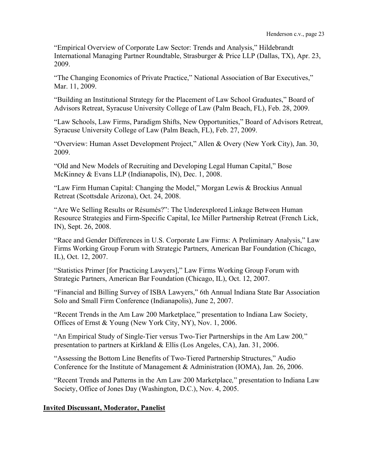"Empirical Overview of Corporate Law Sector: Trends and Analysis," Hildebrandt International Managing Partner Roundtable, Strasburger & Price LLP (Dallas, TX), Apr. 23, 2009.

"The Changing Economics of Private Practice," National Association of Bar Executives," Mar. 11, 2009.

"Building an Institutional Strategy for the Placement of Law School Graduates," Board of Advisors Retreat, Syracuse University College of Law (Palm Beach, FL), Feb. 28, 2009.

"Law Schools, Law Firms, Paradigm Shifts, New Opportunities," Board of Advisors Retreat, Syracuse University College of Law (Palm Beach, FL), Feb. 27, 2009.

"Overview: Human Asset Development Project," Allen & Overy (New York City), Jan. 30, 2009.

"Old and New Models of Recruiting and Developing Legal Human Capital," Bose McKinney & Evans LLP (Indianapolis, IN), Dec. 1, 2008.

"Law Firm Human Capital: Changing the Model," Morgan Lewis & Brockius Annual Retreat (Scottsdale Arizona), Oct. 24, 2008.

"Are We Selling Results or Résumés?": The Underexplored Linkage Between Human Resource Strategies and Firm-Specific Capital, Ice Miller Partnership Retreat (French Lick, IN), Sept. 26, 2008.

"Race and Gender Differences in U.S. Corporate Law Firms: A Preliminary Analysis," Law Firms Working Group Forum with Strategic Partners, American Bar Foundation (Chicago, IL), Oct. 12, 2007.

"Statistics Primer [for Practicing Lawyers]," Law Firms Working Group Forum with Strategic Partners, American Bar Foundation (Chicago, IL), Oct. 12, 2007.

"Financial and Billing Survey of ISBA Lawyers," 6th Annual Indiana State Bar Association Solo and Small Firm Conference (Indianapolis), June 2, 2007.

"Recent Trends in the Am Law 200 Marketplace*,*" presentation to Indiana Law Society, Offices of Ernst & Young (New York City, NY), Nov. 1, 2006.

"An Empirical Study of Single-Tier versus Two-Tier Partnerships in the Am Law 200*,*" presentation to partners at Kirkland & Ellis (Los Angeles, CA), Jan. 31, 2006.

"Assessing the Bottom Line Benefits of Two-Tiered Partnership Structures," Audio Conference for the Institute of Management & Administration (IOMA), Jan. 26, 2006.

"Recent Trends and Patterns in the Am Law 200 Marketplace*,*" presentation to Indiana Law Society, Office of Jones Day (Washington, D.C.), Nov. 4, 2005.

## **Invited Discussant, Moderator, Panelist**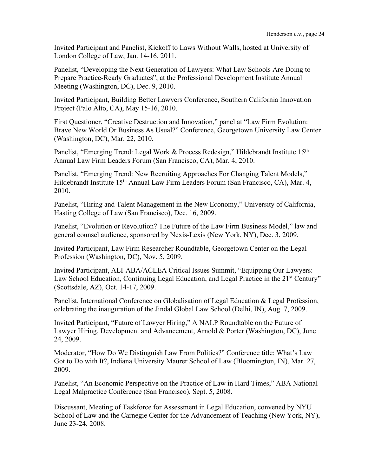Invited Participant and Panelist, Kickoff to Laws Without Walls, hosted at University of London College of Law, Jan. 14-16, 2011.

Panelist, "Developing the Next Generation of Lawyers: What Law Schools Are Doing to Prepare Practice-Ready Graduates", at the Professional Development Institute Annual Meeting (Washington, DC), Dec. 9, 2010.

Invited Participant, Building Better Lawyers Conference, Southern California Innovation Project (Palo Alto, CA), May 15-16, 2010.

First Questioner, "Creative Destruction and Innovation," panel at "Law Firm Evolution: Brave New World Or Business As Usual?" Conference, Georgetown University Law Center (Washington, DC), Mar. 22, 2010.

Panelist, "Emerging Trend: Legal Work & Process Redesign," Hildebrandt Institute 15<sup>th</sup> Annual Law Firm Leaders Forum (San Francisco, CA), Mar. 4, 2010.

Panelist, "Emerging Trend: New Recruiting Approaches For Changing Talent Models," Hildebrandt Institute 15<sup>th</sup> Annual Law Firm Leaders Forum (San Francisco, CA), Mar. 4, 2010.

Panelist, "Hiring and Talent Management in the New Economy," University of California, Hasting College of Law (San Francisco), Dec. 16, 2009.

Panelist, "Evolution or Revolution? The Future of the Law Firm Business Model," law and general counsel audience, sponsored by Nexis-Lexis (New York, NY), Dec. 3, 2009.

Invited Participant, Law Firm Researcher Roundtable, Georgetown Center on the Legal Profession (Washington, DC), Nov. 5, 2009.

Invited Participant, ALI-ABA/ACLEA Critical Issues Summit, "Equipping Our Lawyers: Law School Education, Continuing Legal Education, and Legal Practice in the 21<sup>st</sup> Century" (Scottsdale, AZ), Oct. 14-17, 2009.

Panelist, International Conference on Globalisation of Legal Education & Legal Profession, celebrating the inauguration of the Jindal Global Law School (Delhi, IN), Aug. 7, 2009.

Invited Participant, "Future of Lawyer Hiring," A NALP Roundtable on the Future of Lawyer Hiring, Development and Advancement, Arnold & Porter (Washington, DC), June 24, 2009.

Moderator, "How Do We Distinguish Law From Politics?" Conference title: What's Law Got to Do with It?, Indiana University Maurer School of Law (Bloomington, IN), Mar. 27, 2009.

Panelist, "An Economic Perspective on the Practice of Law in Hard Times," ABA National Legal Malpractice Conference (San Francisco), Sept. 5, 2008.

Discussant, Meeting of Taskforce for Assessment in Legal Education, convened by NYU School of Law and the Carnegie Center for the Advancement of Teaching (New York, NY), June 23-24, 2008.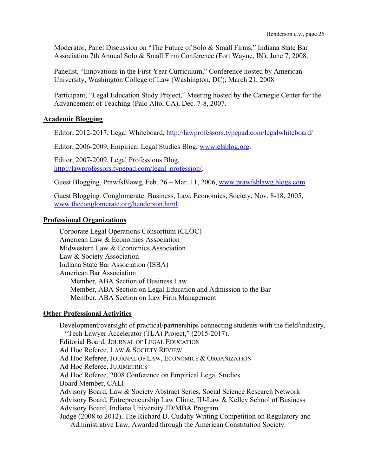Moderator, Panel Discussion on "The Future of Solo & Small Firms," Indiana State Bar Association 7th Annual Solo & Small Firm Conference (Fort Wayne, IN), June 7, 2008.

Panelist, "Innovations in the First-Year Curriculum," Conference hosted by American University, Washington College of Law (Washington, DC), March 21, 2008.

Participant, "Legal Education Study Project," Meeting hosted by the Carnegie Center for the Advancement of Teaching (Palo Alto, CA), Dec. 7-8, 2007.

## **Academic Blogging**

Editor, 2012-2017, Legal Whiteboard, http://lawprofessors.typepad.com/legalwhiteboard/

Editor, 2006-2009, Empirical Legal Studies Blog, www.elsblog.org.

Editor, 2007-2009, Legal Professions Blog, http://lawprofessors.typepad.com/legal\_profession/.

Guest Blogging, PrawfsBlawg, Feb. 26 – Mar. 11, 2006, www.prawfsblawg.blogs.com.

Guest Blogging*,* Conglomerate: Business, Law, Economics, Society, Nov. 8-18, 2005, www.theconglomerate.org/henderson.html.

## **Professional Organizations**

Corporate Legal Operations Consortium (CLOC) American Law & Economics Association Midwestern Law & Economics Association Law & Society Association Indiana State Bar Association (ISBA) American Bar Association Member, ABA Section of Business Law Member, ABA Section on Legal Education and Admission to the Bar Member, ABA Section on Law Firm Management

## **Other Professional Activities**

Development/oversight of practical/partnerships connecting students with the field/industry, "Tech Lawyer Accelerator (TLA) Project," (2015-2017). Editorial Board, JOURNAL OF LEGAL EDUCATION Ad Hoc Referee, LAW & SOCIETY REVIEW Ad Hoc Referee, JOURNAL OF LAW, ECONOMICS & ORGANIZATION Ad Hoc Referee, JURIMETRICS Ad Hoc Referee, 2008 Conference on Empirical Legal Studies Board Member, CALI Advisory Board, Law & Society Abstract Series, Social Science Research Network Advisory Board, Entrepreneurship Law Clinic, IU-Law & Kelley School of Business Advisory Board, Indiana University JD/MBA Program Judge (2008 to 2012), The Richard D. Cudahy Writing Competition on Regulatory and Administrative Law, Awarded through the American Constitution Society.